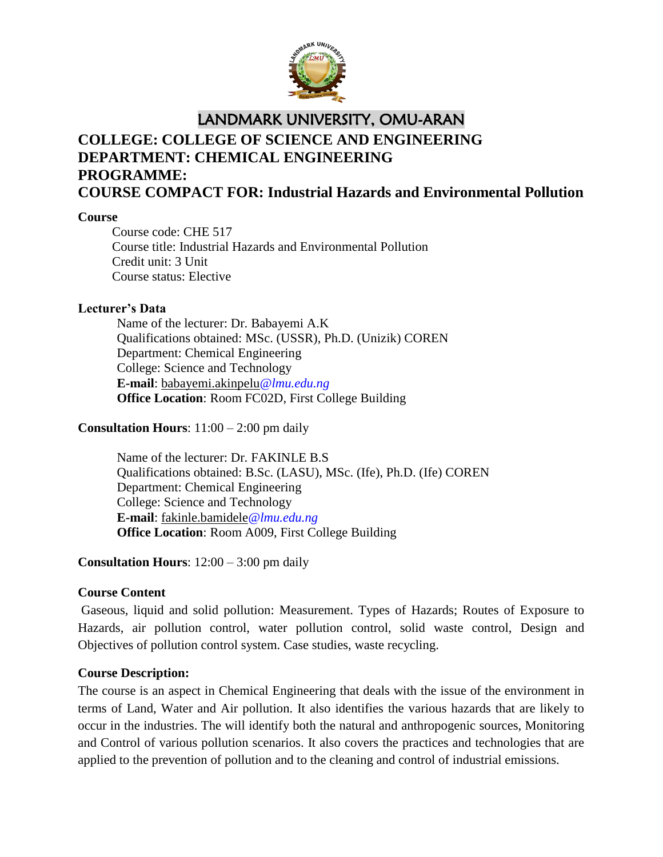

## LANDMARK UNIVERSITY, OMU-ARAN

# **COLLEGE: COLLEGE OF SCIENCE AND ENGINEERING DEPARTMENT: CHEMICAL ENGINEERING PROGRAMME: COURSE COMPACT FOR: Industrial Hazards and Environmental Pollution**

### **Course**

Course code: CHE 517 Course title: Industrial Hazards and Environmental Pollution Credit unit: 3 Unit Course status: Elective

### **Lecturer's Data**

Name of the lecturer: Dr. Babayemi A.K Qualifications obtained: MSc. (USSR), Ph.D. (Unizik) COREN Department: Chemical Engineering College: Science and Technology **E-mail**: babayemi.akinpelu*@lmu.edu.ng* **Office Location**: Room FC02D, First College Building

### **Consultation Hours**: 11:00 – 2:00 pm daily

Name of the lecturer: Dr. FAKINLE B.S Qualifications obtained: B.Sc. (LASU), MSc. (Ife), Ph.D. (Ife) COREN Department: Chemical Engineering College: Science and Technology **E-mail**: fakinle.bamidele*@lmu.edu.ng* **Office Location**: Room A009, First College Building

## **Consultation Hours**: 12:00 – 3:00 pm daily

## **Course Content**

Gaseous, liquid and solid pollution: Measurement. Types of Hazards; Routes of Exposure to Hazards, air pollution control, water pollution control, solid waste control, Design and Objectives of pollution control system. Case studies, waste recycling.

### **Course Description:**

The course is an aspect in Chemical Engineering that deals with the issue of the environment in terms of Land, Water and Air pollution. It also identifies the various hazards that are likely to occur in the industries. The will identify both the natural and anthropogenic sources, Monitoring and Control of various pollution scenarios. It also covers the practices and technologies that are applied to the prevention of pollution and to the cleaning and control of industrial emissions.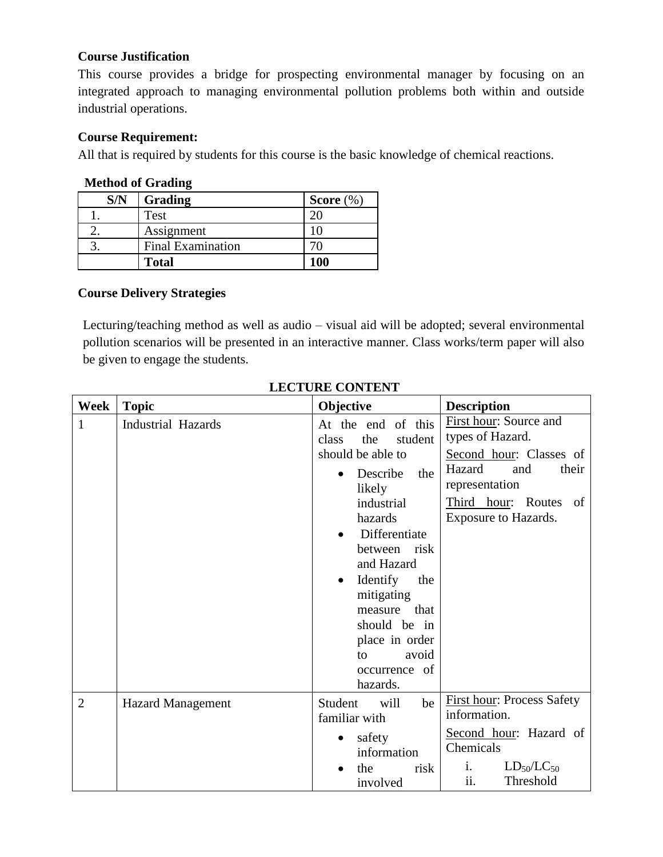### **Course Justification**

This course provides a bridge for prospecting environmental manager by focusing on an integrated approach to managing environmental pollution problems both within and outside industrial operations.

### **Course Requirement:**

All that is required by students for this course is the basic knowledge of chemical reactions.

### **Method of Grading**

| S/N | Grading                  | Score $(\%)$ |
|-----|--------------------------|--------------|
|     | Test                     |              |
|     | Assignment               |              |
|     | <b>Final Examination</b> |              |
|     | <b>Total</b>             | 100          |

## **Course Delivery Strategies**

Lecturing/teaching method as well as audio – visual aid will be adopted; several environmental pollution scenarios will be presented in an interactive manner. Class works/term paper will also be given to engage the students.

| Week           | <b>Topic</b>              | Objective                                                                                                                                                                                                                                                                                                               | <b>Description</b>                                                                                                                                                    |
|----------------|---------------------------|-------------------------------------------------------------------------------------------------------------------------------------------------------------------------------------------------------------------------------------------------------------------------------------------------------------------------|-----------------------------------------------------------------------------------------------------------------------------------------------------------------------|
| $\mathbf{1}$   | <b>Industrial Hazards</b> | At the end of this<br>the<br>student<br>class<br>should be able to<br>Describe<br>the<br>likely<br>industrial<br>hazards<br>Differentiate<br>between risk<br>and Hazard<br>Identify<br>the<br>$\bullet$<br>mitigating<br>that<br>measure<br>should be in<br>place in order<br>avoid<br>to.<br>occurrence of<br>hazards. | First hour: Source and<br>types of Hazard.<br>Second hour: Classes of<br>Hazard<br>their<br>and<br>representation<br>Third hour: Routes<br>of<br>Exposure to Hazards. |
| $\overline{2}$ | <b>Hazard Management</b>  | Student<br>will<br>be<br>familiar with<br>safety<br>information<br>the<br>risk<br>involved                                                                                                                                                                                                                              | <b>First hour: Process Safety</b><br>information.<br>Second hour: Hazard of<br>Chemicals<br>i.<br>$LD_{50}/LC_{50}$<br>ii.<br>Threshold                               |

## **LECTURE CONTENT**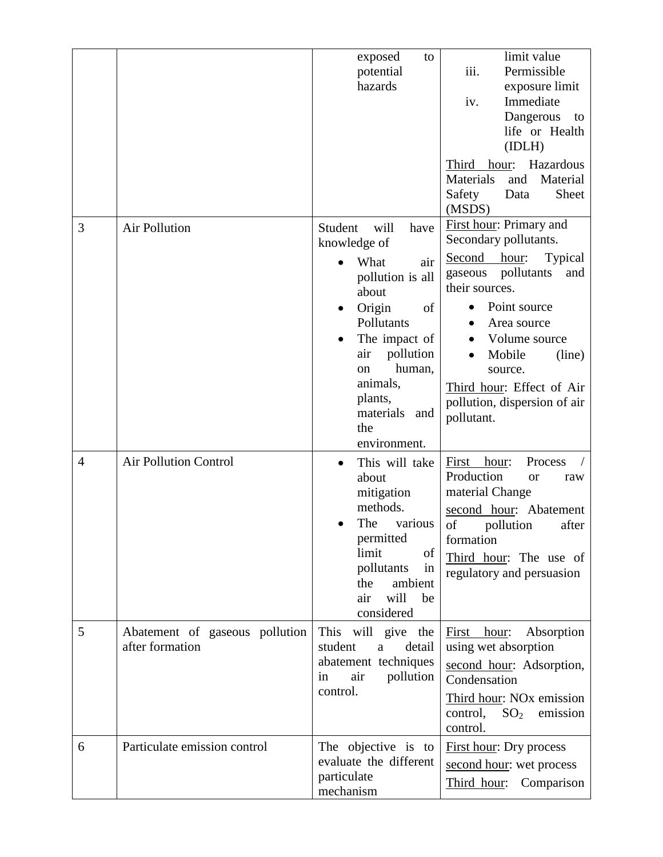|                |                                                   | exposed<br>to<br>potential<br>hazards                                                                                                                                                                                                               | limit value<br>Permissible<br>iii.                                                                                                                                                                                                                                                             |
|----------------|---------------------------------------------------|-----------------------------------------------------------------------------------------------------------------------------------------------------------------------------------------------------------------------------------------------------|------------------------------------------------------------------------------------------------------------------------------------------------------------------------------------------------------------------------------------------------------------------------------------------------|
|                |                                                   |                                                                                                                                                                                                                                                     | exposure limit<br>Immediate<br>iv.<br>Dangerous<br>to<br>life or Health<br>(IDLH)                                                                                                                                                                                                              |
|                |                                                   |                                                                                                                                                                                                                                                     | Hazardous<br>Third<br>hour:<br>Material<br><b>Materials</b><br>and<br>Sheet<br>Safety<br>Data<br>(MSDS)                                                                                                                                                                                        |
| 3              | Air Pollution                                     | Student<br>will<br>have<br>knowledge of<br>What<br>air<br>pollution is all<br>about<br>Origin<br>of<br>Pollutants<br>The impact of<br>pollution<br>air<br>human,<br><sub>on</sub><br>animals,<br>plants,<br>materials<br>and<br>the<br>environment. | First hour: Primary and<br>Secondary pollutants.<br>Second hour:<br><b>Typical</b><br>pollutants<br>and<br>gaseous<br>their sources.<br>Point source<br>Area source<br>Volume source<br>Mobile<br>(line)<br>source.<br>Third hour: Effect of Air<br>pollution, dispersion of air<br>pollutant. |
| $\overline{4}$ | <b>Air Pollution Control</b>                      | This will take<br>about<br>mitigation<br>methods.<br>The<br>various<br>permitted<br>limit<br>of<br>pollutants<br>in<br>ambient<br>the<br>will<br>air<br>be<br>considered                                                                            | Process<br>First<br>hour:<br>Production<br><b>or</b><br>raw<br>material Change<br>second hour: Abatement<br>of<br>pollution<br>after<br>formation<br>Third hour: The use of<br>regulatory and persuasion                                                                                       |
| 5              | Abatement of gaseous pollution<br>after formation | This will give the<br>student<br>detail<br>a<br>abatement techniques<br>pollution<br>air<br>in<br>control.                                                                                                                                          | Absorption<br>hour:<br>First<br>using wet absorption<br>second hour: Adsorption,<br>Condensation<br>Third hour: NO <sub>x</sub> emission<br>control,<br>SO <sub>2</sub><br>emission<br>control.                                                                                                |
| 6              | Particulate emission control                      | The objective is to<br>evaluate the different<br>particulate<br>mechanism                                                                                                                                                                           | <b>First hour:</b> Dry process<br>second hour: wet process<br>Third hour:<br>Comparison                                                                                                                                                                                                        |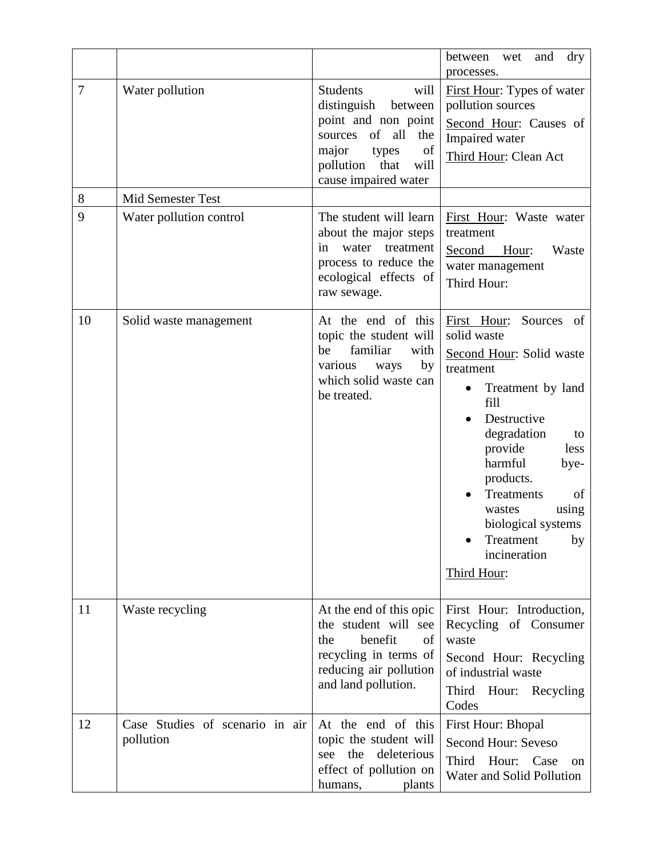|        |                                              |                                                                                                                                                                             | between<br>and<br>dry<br>wet<br>processes.                                                                                                                                                                                                                                                                           |
|--------|----------------------------------------------|-----------------------------------------------------------------------------------------------------------------------------------------------------------------------------|----------------------------------------------------------------------------------------------------------------------------------------------------------------------------------------------------------------------------------------------------------------------------------------------------------------------|
| $\tau$ | Water pollution                              | <b>Students</b><br>will<br>distinguish<br>between<br>point and non point<br>sources of all the<br>major<br>of<br>types<br>pollution<br>that<br>will<br>cause impaired water | First Hour: Types of water<br>pollution sources<br>Second Hour: Causes of<br>Impaired water<br>Third Hour: Clean Act                                                                                                                                                                                                 |
| 8      | Mid Semester Test                            |                                                                                                                                                                             |                                                                                                                                                                                                                                                                                                                      |
| 9      | Water pollution control                      | The student will learn<br>about the major steps<br>water treatment<br>in<br>process to reduce the<br>ecological effects of<br>raw sewage.                                   | First Hour: Waste water<br>treatment<br>Second<br>Hour:<br>Waste<br>water management<br>Third Hour:                                                                                                                                                                                                                  |
| 10     | Solid waste management                       | At the end of this<br>topic the student will<br>familiar<br>be<br>with<br>various<br>by<br>ways<br>which solid waste can<br>be treated.                                     | First Hour:<br>Sources of<br>solid waste<br>Second Hour: Solid waste<br>treatment<br>Treatment by land<br>fill<br>Destructive<br>degradation<br>to<br>provide<br>less<br>harmful<br>bye-<br>products.<br>Treatments<br>of<br>using<br>wastes<br>biological systems<br>Treatment<br>by<br>incineration<br>Third Hour: |
| 11     | Waste recycling                              | At the end of this opic<br>the student will see<br>benefit<br>of<br>the<br>recycling in terms of<br>reducing air pollution<br>and land pollution.                           | First Hour: Introduction,<br>Recycling of Consumer<br>waste<br>Second Hour: Recycling<br>of industrial waste<br>Third<br>Hour:<br>Recycling<br>Codes                                                                                                                                                                 |
| 12     | Case Studies of scenario in air<br>pollution | At the end of this<br>topic the student will<br>deleterious<br>the<br>see<br>effect of pollution on<br>humans,<br>plants                                                    | <b>First Hour: Bhopal</b><br>Second Hour: Seveso<br>Third<br>Hour:<br>Case<br>on<br>Water and Solid Pollution                                                                                                                                                                                                        |